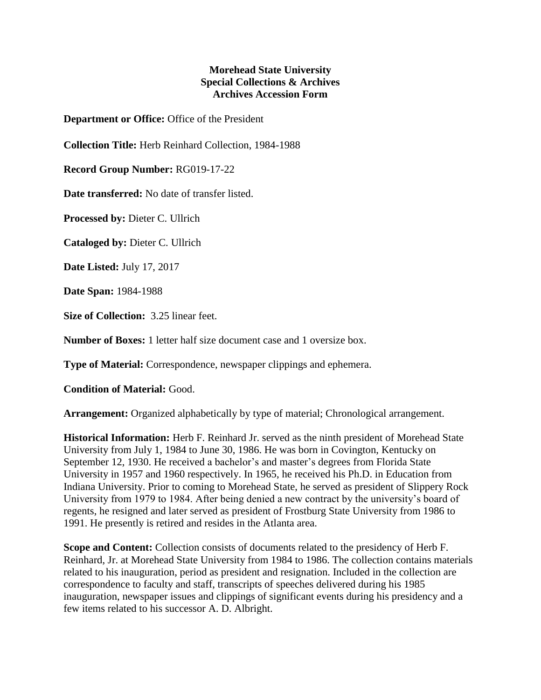## **Morehead State University Special Collections & Archives Archives Accession Form**

**Department or Office:** Office of the President

**Collection Title:** Herb Reinhard Collection, 1984-1988

**Record Group Number:** RG019-17-22

**Date transferred:** No date of transfer listed.

**Processed by:** Dieter C. Ullrich

**Cataloged by:** Dieter C. Ullrich

**Date Listed:** July 17, 2017

**Date Span:** 1984-1988

**Size of Collection:** 3.25 linear feet.

**Number of Boxes:** 1 letter half size document case and 1 oversize box.

**Type of Material:** Correspondence, newspaper clippings and ephemera.

**Condition of Material:** Good.

**Arrangement:** Organized alphabetically by type of material; Chronological arrangement.

**Historical Information:** Herb F. Reinhard Jr. served as the ninth president of Morehead State University from July 1, 1984 to June 30, 1986. He was born in Covington, Kentucky on September 12, 1930. He received a bachelor's and master's degrees from Florida State University in 1957 and 1960 respectively. In 1965, he received his Ph.D. in Education from Indiana University. Prior to coming to Morehead State, he served as president of Slippery Rock University from 1979 to 1984. After being denied a new contract by the university's board of regents, he resigned and later served as president of Frostburg State University from 1986 to 1991. He presently is retired and resides in the Atlanta area.

**Scope and Content:** Collection consists of documents related to the presidency of Herb F. Reinhard, Jr. at Morehead State University from 1984 to 1986. The collection contains materials related to his inauguration, period as president and resignation. Included in the collection are correspondence to faculty and staff, transcripts of speeches delivered during his 1985 inauguration, newspaper issues and clippings of significant events during his presidency and a few items related to his successor A. D. Albright.